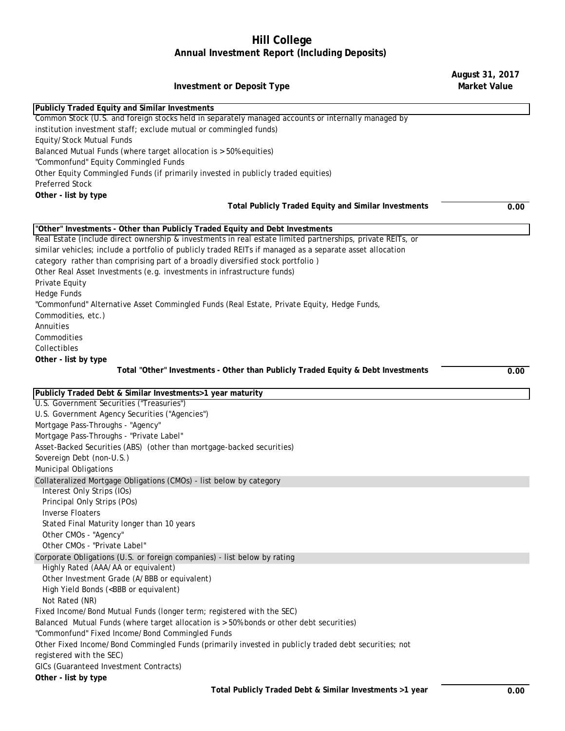## **Hill College Annual Investment Report (Including Deposits)**

## **Investment or Deposit Type**

Common Stock (U.S. and foreign stocks held in separately managed accounts or internally managed by institution investment staff; exclude mutual or commingled funds) Equity/Stock Mutual Funds Balanced Mutual Funds (where target allocation is > 50% equities) "Commonfund" Equity Commingled Funds Other Equity Commingled Funds (if primarily invested in publicly traded equities) Preferred Stock **Other - list by type Total Publicly Traded Equity and Similar Investments 0.00** Real Estate (include direct ownership & investments in real estate limited partnerships, private REITs, or similar vehicles; include a portfolio of publicly traded REITs if managed as a separate asset allocation category rather than comprising part of a broadly diversified stock portfolio ) Other Real Asset Investments (e.g. investments in infrastructure funds) Private Equity Hedge Funds "Commonfund" Alternative Asset Commingled Funds (Real Estate, Private Equity, Hedge Funds, Commodities, etc.) Annuities Commodities Collectibles **Other - list by type Total "Other" Investments - Other than Publicly Traded Equity & Debt Investments 0.00** U.S. Government Securities ("Treasuries") U.S. Government Agency Securities ("Agencies") Mortgage Pass-Throughs - "Agency" Mortgage Pass-Throughs - "Private Label" Asset-Backed Securities (ABS) (other than mortgage-backed securities) Sovereign Debt (non-U.S.) Municipal Obligations Interest Only Strips (IOs) Principal Only Strips (POs) Inverse Floaters Stated Final Maturity longer than 10 years Other CMOs - "Agency" Other CMOs - "Private Label" Highly Rated (AAA/AA or equivalent) Other Investment Grade (A/BBB or equivalent) High Yield Bonds (<BBB or equivalent) Not Rated (NR) Fixed Income/Bond Mutual Funds (longer term; registered with the SEC) Balanced Mutual Funds (where target allocation is > 50% bonds or other debt securities) "Commonfund" Fixed Income/Bond Commingled Funds Other Fixed Income/Bond Commingled Funds (primarily invested in publicly traded debt securities; not registered with the SEC) GICs (Guaranteed Investment Contracts) **Other - list by type** Collateralized Mortgage Obligations (CMOs) - list below by category Corporate Obligations (U.S. or foreign companies) - list below by rating **Publicly Traded Equity and Similar Investments "Other" Investments - Other than Publicly Traded Equity and Debt Investments Publicly Traded Debt & Similar Investments>1 year maturity**

**August 31, 2017 Market Value**